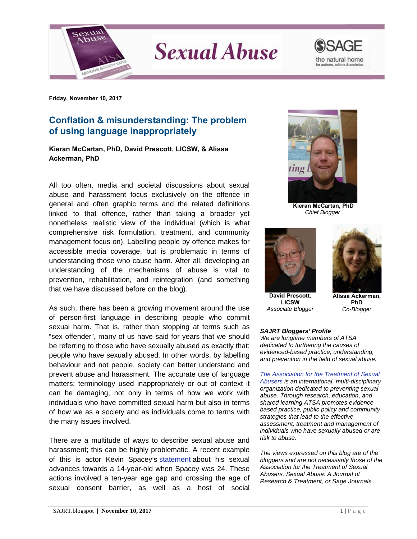

**Sexual Abuse** 



**Friday, November 10, 2017**

## **Conflation & misunderstanding: The problem of using language inappropriately**

**Kieran McCartan, PhD, David Prescott, LICSW, & Alissa Ackerman, PhD**

All too often, media and societal discussions about sexual abuse and harassment focus exclusively on the offence in general and often graphic terms and the related definitions linked to that offence, rather than taking a broader yet nonetheless realistic view of the individual (which is what comprehensive risk formulation, treatment, and community management focus on). Labelling people by offence makes for accessible media coverage, but is problematic in terms of understanding those who cause harm. After all, developing an understanding of the mechanisms of abuse is vital to prevention, rehabilitation, and reintegration (and something that we have discussed before on the blog).

As such, there has been a growing movement around the use of person-first language in describing people who commit sexual harm. That is, rather than stopping at terms such as "sex offender", many of us have said for years that we should be referring to those who have sexually abused as exactly that: people who have sexually abused. In other words, by labelling behaviour and not people, society can better understand and prevent abuse and harassment. The accurate use of language matters; terminology used inappropriately or out of context it can be damaging, not only in terms of how we work with individuals who have committed sexual harm but also in terms of how we as a society and as individuals come to terms with the many issues involved.

There are a multitude of ways to describe sexual abuse and harassment; this can be highly problematic. A recent example of this is actor Kevin Spacey's [statement](http://www.independent.co.uk/arts-entertainment/films/news/kevin-spacey-statement-in-full-twitter-anthony-rapp-sexual-advances-gay-homosexuality-14-year-old-a8026821.html) about his sexual advances towards a 14-year-old when Spacey was 24. These actions involved a ten-year age gap and crossing the age of sexual consent barrier, as well as a host of social



**Kieran McCartan, PhD** *Chief Blogger*



 **David Prescott, LICSW** *Associate Blogger*



 **Alissa Ackerman, PhD** *Co-Blogger*

## *SAJRT Bloggers' Profile*

*We are longtime members of ATSA dedicated to furthering the causes of evidenced-based practice, understanding, and prevention in the field of sexual abuse.*

*[The Association for the Treatment of Sexual](http://atsa.com/)  [Abusers](http://atsa.com/) is an international, multi-disciplinary organization dedicated to preventing sexual abuse. Through research, education, and shared learning ATSA promotes evidence based practice, public policy and community strategies that lead to the effective assessment, treatment and management of individuals who have sexually abused or are risk to abuse.* 

*The views expressed on this blog are of the bloggers and are not necessarily those of the Association for the Treatment of Sexual Abusers, Sexual Abuse: A Journal of Research & Treatment, or Sage Journals.*